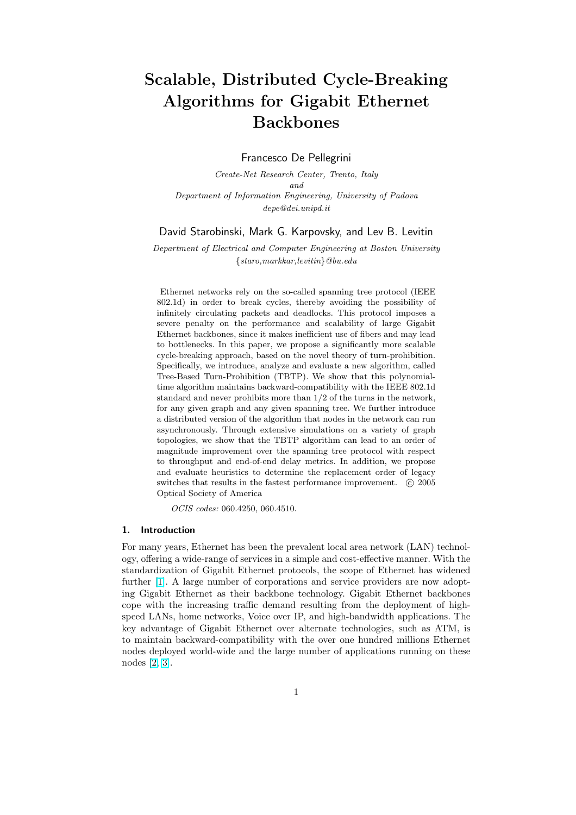# Scalable, Distributed Cycle-Breaking Algorithms for Gigabit Ethernet Backbones

Francesco De Pellegrini

Create-Net Research Center, Trento, Italy and Department of Information Engineering, University of Padova depe@dei.unipd.it

David Starobinski, Mark G. Karpovsky, and Lev B. Levitin

Department of Electrical and Computer Engineering at Boston University {staro,markkar,levitin}@bu.edu

Ethernet networks rely on the so-called spanning tree protocol (IEEE 802.1d) in order to break cycles, thereby avoiding the possibility of infinitely circulating packets and deadlocks. This protocol imposes a severe penalty on the performance and scalability of large Gigabit Ethernet backbones, since it makes inefficient use of fibers and may lead to bottlenecks. In this paper, we propose a significantly more scalable cycle-breaking approach, based on the novel theory of turn-prohibition. Specifically, we introduce, analyze and evaluate a new algorithm, called Tree-Based Turn-Prohibition (TBTP). We show that this polynomialtime algorithm maintains backward-compatibility with the IEEE 802.1d standard and never prohibits more than 1/2 of the turns in the network, for any given graph and any given spanning tree. We further introduce a distributed version of the algorithm that nodes in the network can run asynchronously. Through extensive simulations on a variety of graph topologies, we show that the TBTP algorithm can lead to an order of magnitude improvement over the spanning tree protocol with respect to throughput and end-of-end delay metrics. In addition, we propose and evaluate heuristics to determine the replacement order of legacy switches that results in the fastest performance improvement.  $\odot$  2005 Optical Society of America

OCIS codes: 060.4250, 060.4510.

#### 1. Introduction

For many years, Ethernet has been the prevalent local area network (LAN) technology, offering a wide-range of services in a simple and cost-effective manner. With the standardization of Gigabit Ethernet protocols, the scope of Ethernet has widened further [1]. A large number of corporations and service providers are now adopting Gigabit Ethernet as their backbone technology. Gigabit Ethernet backbones cope with the increasing traffic demand resulting from the deployment of highspeed LANs, home networks, Voice over IP, and high-bandwidth applications. The key adv[an](#page-19-0)tage of Gigabit Ethernet over alternate technologies, such as ATM, is to maintain backward-compatibility with the over one hundred millions Ethernet nodes deployed world-wide and the large number of applications running on these nodes [2, 3].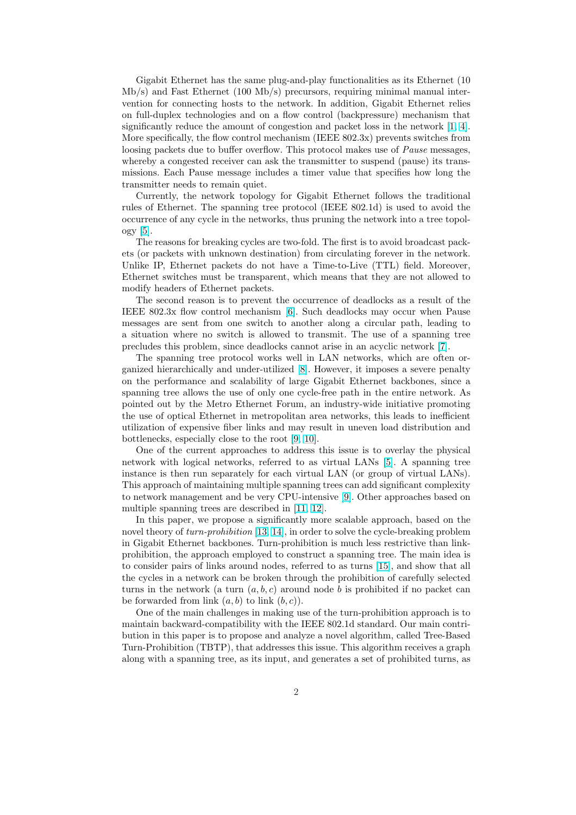Gigabit Ethernet has the same plug-and-play functionalities as its Ethernet (10 Mb/s) and Fast Ethernet (100 Mb/s) precursors, requiring minimal manual intervention for connecting hosts to the network. In addition, Gigabit Ethernet relies on full-duplex technologies and on a flow control (backpressure) mechanism that significantly reduce the amount of congestion and packet loss in the network [1, 4]. More specifically, the flow control mechanism (IEEE 802.3x) prevents switches from loosing packets due to buffer overflow. This protocol makes use of *Pause* messages, whereby a congested receiver can ask the transmitter to suspend (pause) its transmissions. Each Pause message includes a timer value that specifies how lon[g](#page-19-0) [th](#page-20-0)e transmitter needs to remain quiet.

Currently, the network topology for Gigabit Ethernet follows the traditional rules of Ethernet. The spanning tree protocol (IEEE 802.1d) is used to avoid the occurrence of any cycle in the networks, thus pruning the network into a tree topology [5].

The reasons for breaking cycles are two-fold. The first is to avoid broadcast packets (or packets with unknown destination) from circulating forever in the network. Unlike IP, Ethernet packets do not have a Time-to-Live (TTL) field. Moreover, Eth[ern](#page-20-0)et switches must be transparent, which means that they are not allowed to modify headers of Ethernet packets.

The second reason is to prevent the occurrence of deadlocks as a result of the IEEE 802.3x flow control mechanism [6]. Such deadlocks may occur when Pause messages are sent from one switch to another along a circular path, leading to a situation where no switch is allowed to transmit. The use of a spanning tree precludes this problem, since deadlocks cannot arise in an acyclic network [7].

The spanning tree protocol works [we](#page-20-0)ll in LAN networks, which are often organized hierarchically and under-utilized [8]. However, it imposes a severe penalty on the performance and scalability of large Gigabit Ethernet backbones, since a spanning tree allows the use of only one cycle-free path in the entire netw[or](#page-20-0)k. As pointed out by the Metro Ethernet Forum, an industry-wide initiative promoting the use of optical Ethernet in metropolit[an](#page-20-0) area networks, this leads to inefficient utilization of expensive fiber links and may result in uneven load distribution and bottlenecks, especially close to the root [9, 10].

One of the current approaches to address this issue is to overlay the physical network with logical networks, referred to as virtual LANs [5]. A spanning tree instance is then run separately for each virtual LAN (or group of virtual LANs). This approach of maintaining multiple sp[annin](#page-20-0)g trees can add significant complexity to network management and be very CPU-intensive [9]. Other approaches based on multiple spanning trees are described in [11, 12].

In this paper, we propose a significantly more scalable approach, based on the novel theory of turn-prohibition [13, 14], in order to solve the cycle-breaking problem in Gigabit Ethernet backbones. Turn-prohibition is [mu](#page-20-0)ch less restrictive than linkprohibition, the approach employed to c[onstruct](#page-20-0) a spanning tree. The main idea is to consider pairs of links around nodes, referred to as turns [15], and show that all the cycles in a network can be [broken](#page-20-0) through the prohibition of carefully selected turns in the network (a turn  $(a, b, c)$  around node b is prohibited if no packet can be forwarded from link  $(a, b)$  to link  $(b, c)$ ).

One of the main challenges in making use of the turn-pro[hibi](#page-20-0)tion approach is to maintain backward-compatibility with the IEEE 802.1d standard. Our main contribution in this paper is to propose and analyze a novel algorithm, called Tree-Based Turn-Prohibition (TBTP), that addresses this issue. This algorithm receives a graph along with a spanning tree, as its input, and generates a set of prohibited turns, as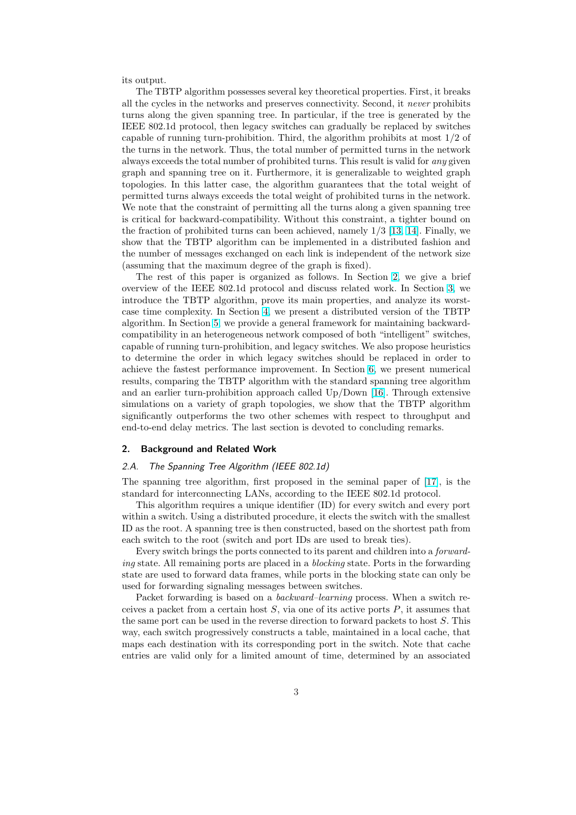its output.

The TBTP algorithm possesses several key theoretical properties. First, it breaks all the cycles in the networks and preserves connectivity. Second, it never prohibits turns along the given spanning tree. In particular, if the tree is generated by the IEEE 802.1d protocol, then legacy switches can gradually be replaced by switches capable of running turn-prohibition. Third, the algorithm prohibits at most 1/2 of the turns in the network. Thus, the total number of permitted turns in the network always exceeds the total number of prohibited turns. This result is valid for any given graph and spanning tree on it. Furthermore, it is generalizable to weighted graph topologies. In this latter case, the algorithm guarantees that the total weight of permitted turns always exceeds the total weight of prohibited turns in the network. We note that the constraint of permitting all the turns along a given spanning tree is critical for backward-compatibility. Without this constraint, a tighter bound on the fraction of prohibited turns can been achieved, namely 1/3 [13, 14]. Finally, we show that the TBTP algorithm can be implemented in a distributed fashion and the number of messages exchanged on each link is independent of the network size (assuming that the maximum degree of the graph is fixed).

The rest of this paper is organized as follows. In Section [2, we](#page-20-0) give a brief overview of the IEEE 802.1d protocol and discuss related work. In Section 3, we introduce the TBTP algorithm, prove its main properties, and analyze its worstcase time complexity. In Section 4, we present a distributed version of the TBTP algorithm. In Section 5, we provide a general framework for maintaining backwardcompatibility in an heterogeneous network composed of both "intelligent" swi[tc](#page-4-0)hes, capable of running turn-prohibition, and legacy switches. We also propose heuristics to determine the order in whic[h l](#page-9-0)egacy switches should be replaced in order to achieve the fastest p[erf](#page-11-0)ormance improvement. In Section 6, we present numerical results, comparing the TBTP algorithm with the standard spanning tree algorithm and an earlier turn-prohibition approach called Up/Down [16]. Through extensive simulations on a variety of graph topologies, we show that the TBTP algorithm significantly outperforms the two other schemes with res[pe](#page-14-0)ct to throughput and end-to-end delay metrics. The last section is devoted to concluding remarks.

### 2. Background and Related Work

# 2.A. The Spanning Tree Algorithm (IEEE 802.1d)

The spanning tree algorithm, first proposed in the seminal paper of [17], is the standard for interconnecting LANs, according to the IEEE 802.1d protocol.

This algorithm requires a unique identifier (ID) for every switch and every port within a switch. Using a distributed procedure, it elects the switch with the smallest ID as the root. A spanning tree is then constructed, based on the shortes[t pa](#page-21-0)th from each switch to the root (switch and port IDs are used to break ties).

Every switch brings the ports connected to its parent and children into a forwarding state. All remaining ports are placed in a *blocking* state. Ports in the forwarding state are used to forward data frames, while ports in the blocking state can only be used for forwarding signaling messages between switches.

Packet forwarding is based on a backward–learning process. When a switch receives a packet from a certain host  $S$ , via one of its active ports  $P$ , it assumes that the same port can be used in the reverse direction to forward packets to host  $S$ . This way, each switch progressively constructs a table, maintained in a local cache, that maps each destination with its corresponding port in the switch. Note that cache entries are valid only for a limited amount of time, determined by an associated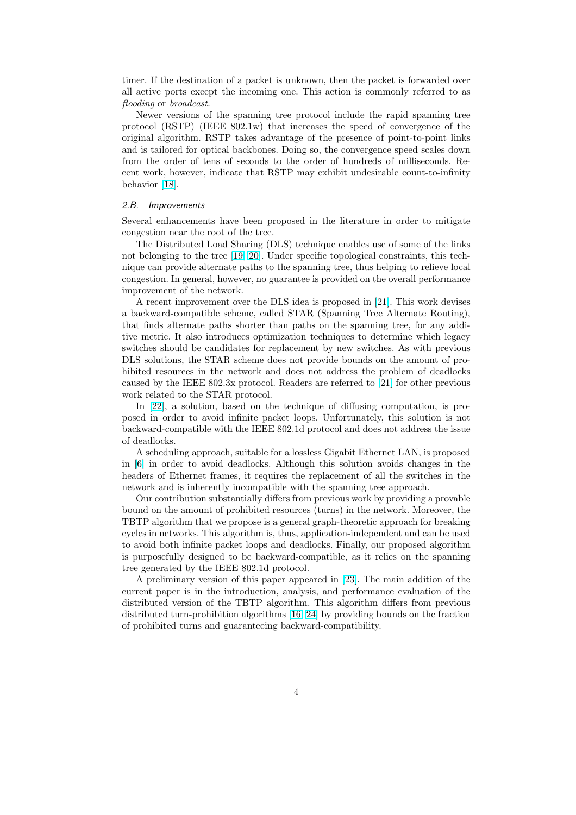timer. If the destination of a packet is unknown, then the packet is forwarded over all active ports except the incoming one. This action is commonly referred to as flooding or broadcast.

Newer versions of the spanning tree protocol include the rapid spanning tree protocol (RSTP) (IEEE 802.1w) that increases the speed of convergence of the original algorithm. RSTP takes advantage of the presence of point-to-point links and is tailored for optical backbones. Doing so, the convergence speed scales down from the order of tens of seconds to the order of hundreds of milliseconds. Recent work, however, indicate that RSTP may exhibit undesirable count-to-infinity behavior [18].

#### 2.B. Improvements

Several enhancements have been proposed in the literature in order to mitigate congestio[n n](#page-21-0)ear the root of the tree.

The Distributed Load Sharing (DLS) technique enables use of some of the links not belonging to the tree [19, 20]. Under specific topological constraints, this technique can provide alternate paths to the spanning tree, thus helping to relieve local congestion. In general, however, no guarantee is provided on the overall performance improvement of the network.

A recent improvement [over th](#page-21-0)e DLS idea is proposed in [21]. This work devises a backward-compatible scheme, called STAR (Spanning Tree Alternate Routing), that finds alternate paths shorter than paths on the spanning tree, for any additive metric. It also introduces optimization techniques to determine which legacy switches should be candidates for replacement by new swit[ches](#page-21-0). As with previous DLS solutions, the STAR scheme does not provide bounds on the amount of prohibited resources in the network and does not address the problem of deadlocks caused by the IEEE 802.3x protocol. Readers are referred to [21] for other previous work related to the STAR protocol.

In [22], a solution, based on the technique of diffusing computation, is proposed in order to avoid infinite packet loops. Unfortunately, this solution is not backward-compatible with the IEEE 802.1d protocol and doe[s no](#page-21-0)t address the issue of deadlocks.

A s[che](#page-21-0)duling approach, suitable for a lossless Gigabit Ethernet LAN, is proposed in [6] in order to avoid deadlocks. Although this solution avoids changes in the headers of Ethernet frames, it requires the replacement of all the switches in the network and is inherently incompatible with the spanning tree approach.

Our contribution substantially differs from previous work by providing a provable bo[und](#page-20-0) on the amount of prohibited resources (turns) in the network. Moreover, the TBTP algorithm that we propose is a general graph-theoretic approach for breaking cycles in networks. This algorithm is, thus, application-independent and can be used to avoid both infinite packet loops and deadlocks. Finally, our proposed algorithm is purposefully designed to be backward-compatible, as it relies on the spanning tree generated by the IEEE 802.1d protocol.

A preliminary version of this paper appeared in [23]. The main addition of the current paper is in the introduction, analysis, and performance evaluation of the distributed version of the TBTP algorithm. This algorithm differs from previous distributed turn-prohibition algorithms [16, 24] by providing bounds on the fraction of prohibited turns and guaranteeing backward-com[pati](#page-21-0)bility.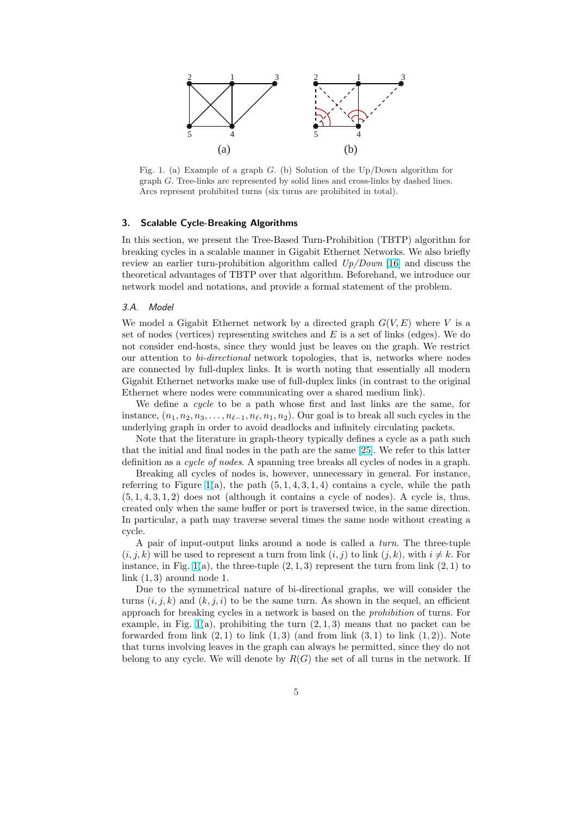<span id="page-4-0"></span>

Fig. 1. (a) Example of a graph G. (b) Solution of the Up/Down algorithm for graph G. Tree-links are represented by solid lines and cross-links by dashed lines. Arcs represent prohibited turns (six turns are prohibited in total).

# 3. Scalable Cycle-Breaking Algorithms

In this section, we present the Tree-Based Turn-Prohibition (TBTP) algorithm for breaking cycles in a scalable manner in Gigabit Ethernet Networks. We also briefly review an earlier turn-prohibition algorithm called  $Up/Down$  [16] and discuss the theoretical advantages of TBTP over that algorithm. Beforehand, we introduce our network model and notations, and provide a formal statement of the problem.

#### 3.A. Model

We model a Gigabit Ethernet network by a directed graph  $G(V, E)$  where V is a set of nodes (vertices) representing switches and  $E$  is a set of links (edges). We do not consider end-hosts, since they would just be leaves on the graph. We restrict our attention to bi-directional network topologies, that is, networks where nodes are connected by full-duplex links. It is worth noting that essentially all modern Gigabit Ethernet networks make use of full-duplex links (in contrast to the original Ethernet where nodes were communicating over a shared medium link).

We define a cycle to be a path whose first and last links are the same, for instance,  $(n_1, n_2, n_3, \ldots, n_{\ell-1}, n_\ell, n_1, n_2)$ . Our goal is to break all such cycles in the underlying graph in order to avoid deadlocks and infinitely circulating packets.

Note that the literature in graph-theory typically defines a cycle as a path such that the initial and final nodes in the path are the same [25]. We refer to this latter definition as a cycle of nodes. A spanning tree breaks all cycles of nodes in a graph.

Breaking all cycles of nodes is, however, unnecessary in general. For instance, referring to Figure 1(a), the path  $(5, 1, 4, 3, 1, 4)$  contains a cycle, while the path  $(5, 1, 4, 3, 1, 2)$  does not (although it contains a cycle o[f no](#page-21-0)des). A cycle is, thus, created only when the same buffer or port is traversed twice, in the same direction. In particular, a path may traverse several times the same node without creating a cycle.

A pair of input-output links around a node is called a turn. The three-tuple  $(i, j, k)$  will be used to represent a turn from link  $(i, j)$  to link  $(j, k)$ , with  $i \neq k$ . For instance, in Fig. 1(a), the three-tuple  $(2,1,3)$  represent the turn from link  $(2,1)$  to link  $(1, 3)$  around node 1.

Due to the symmetrical nature of bi-directional graphs, we will consider the turns  $(i, j, k)$  and  $(k, j, i)$  to be the same turn. As shown in the sequel, an efficient approach for breaking cycles in a network is based on the prohibition of turns. For example, in Fig.  $1(a)$ , prohibiting the turn  $(2, 1, 3)$  means that no packet can be forwarded from link  $(2,1)$  to link  $(1,3)$  (and from link  $(3,1)$  to link  $(1,2)$ ). Note that turns involving leaves in the graph can always be permitted, since they do not belong to any cycle. We will denote by  $R(G)$  the set of all turns in the network. If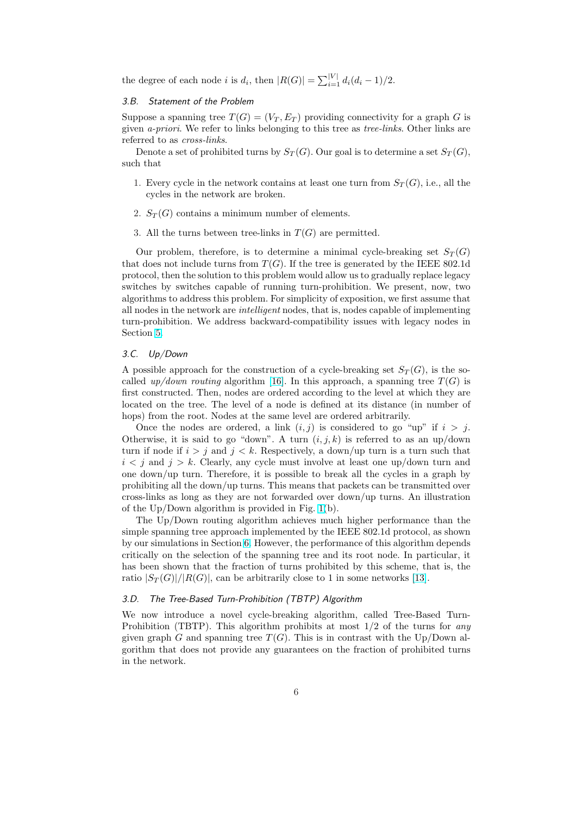the degree of each node *i* is  $d_i$ , then  $|R(G)| = \sum_{i=1}^{|V|} d_i (d_i - 1)/2$ .

#### 3.B. Statement of the Problem

Suppose a spanning tree  $T(G) = (V_T, E_T)$  providing connectivity for a graph G is given a-priori. We refer to links belonging to this tree as tree-links. Other links are referred to as cross-links.

Denote a set of prohibited turns by  $S_T(G)$ . Our goal is to determine a set  $S_T(G)$ , such that

- 1. Every cycle in the network contains at least one turn from  $S_T(G)$ , i.e., all the cycles in the network are broken.
- 2.  $S_T(G)$  contains a minimum number of elements.
- 3. All the turns between tree-links in  $T(G)$  are permitted.

Our problem, therefore, is to determine a minimal cycle-breaking set  $S_T(G)$ that does not include turns from  $T(G)$ . If the tree is generated by the IEEE 802.1d protocol, then the solution to this problem would allow us to gradually replace legacy switches by switches capable of running turn-prohibition. We present, now, two algorithms to address this problem. For simplicity of exposition, we first assume that all nodes in the network are intelligent nodes, that is, nodes capable of implementing turn-prohibition. We address backward-compatibility issues with legacy nodes in Section 5.

#### 3.C. Up/Down

A possible approach for the construction of a cycle-breaking set  $S_T(G)$ , is the socalled [up/](#page-11-0)down routing algorithm [16]. In this approach, a spanning tree  $T(G)$  is first constructed. Then, nodes are ordered according to the level at which they are located on the tree. The level of a node is defined at its distance (in number of hops) from the root. Nodes at the same level are ordered arbitrarily.

Once the nodes are ordered, a [lin](#page-20-0)k  $(i, j)$  is considered to go "up" if  $i > j$ . Otherwise, it is said to go "down". A turn  $(i, j, k)$  is referred to as an up/down turn if node if  $i > j$  and  $j < k$ . Respectively, a down/up turn is a turn such that  $i < j$  and  $j > k$ . Clearly, any cycle must involve at least one up/down turn and one down/up turn. Therefore, it is possible to break all the cycles in a graph by prohibiting all the down/up turns. This means that packets can be transmitted over cross-links as long as they are not forwarded over down/up turns. An illustration of the Up/Down algorithm is provided in Fig. 1(b).

The Up/Down routing algorithm achieves much higher performance than the simple spanning tree approach implemented by the IEEE 802.1d protocol, as shown by our simulations in Section 6. However, the performance of this algorithm depends critically on the selection of the spanning tre[e a](#page-4-0)nd its root node. In particular, it has been shown that the fraction of turns prohibited by this scheme, that is, the ratio  $|S_T(G)|/|R(G)|$ , can be arbitrarily close to 1 in some networks [13].

#### 3.D. The Tree-Based Turn-[Pro](#page-14-0)hibition (TBTP) Algorithm

We now introduce a novel cycle-breaking algorithm, called Tree-Based Turn-Prohibition (TBTP). This algorithm prohibits at most  $1/2$  of the [tur](#page-20-0)ns for any given graph G and spanning tree  $T(G)$ . This is in contrast with the Up/Down algorithm that does not provide any guarantees on the fraction of prohibited turns in the network.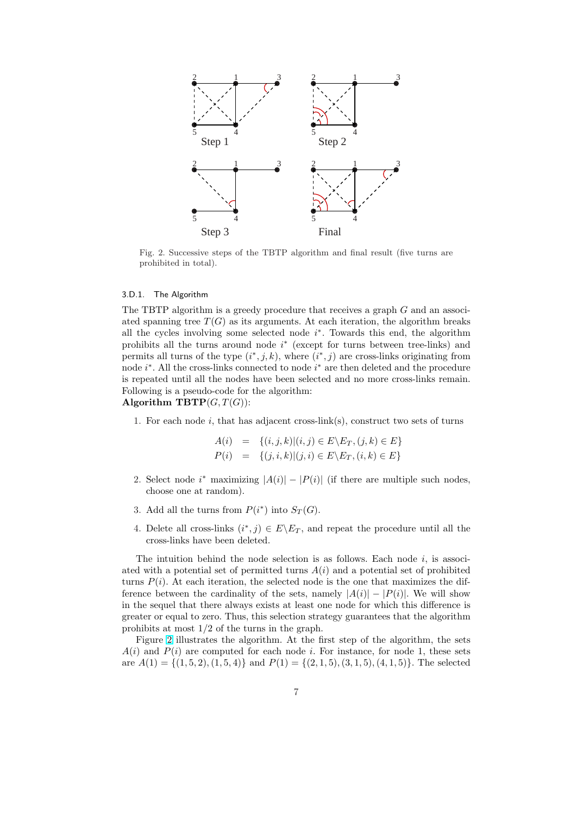<span id="page-6-0"></span>

Fig. 2. Successive steps of the TBTP algorithm and final result (five turns are prohibited in total).

# 3.D.1. The Algorithm

The TBTP algorithm is a greedy procedure that receives a graph G and an associated spanning tree  $T(G)$  as its arguments. At each iteration, the algorithm breaks all the cycles involving some selected node  $i^*$ . Towards this end, the algorithm prohibits all the turns around node  $i^*$  (except for turns between tree-links) and permits all turns of the type  $(i^*, j, k)$ , where  $(i^*, j)$  are cross-links originating from node *i*<sup>\*</sup>. All the cross-links connected to node *i*<sup>\*</sup> are then deleted and the procedure is repeated until all the nodes have been selected and no more cross-links remain. Following is a pseudo-code for the algorithm:

# Algorithm  $\mathbf{TBTP}(G, T(G))$ :

1. For each node  $i$ , that has adjacent cross-link(s), construct two sets of turns

$$
A(i) = \{(i, j, k) | (i, j) \in E \setminus E_T, (j, k) \in E\}
$$
  

$$
P(i) = \{(j, i, k) | (j, i) \in E \setminus E_T, (i, k) \in E\}
$$

- 2. Select node  $i^*$  maximizing  $|A(i)| |P(i)|$  (if there are multiple such nodes, choose one at random).
- 3. Add all the turns from  $P(i^*)$  into  $S_T(G)$ .
- 4. Delete all cross-links  $(i^*, j) \in E \backslash E_T$ , and repeat the procedure until all the cross-links have been deleted.

The intuition behind the node selection is as follows. Each node  $i$ , is associated with a potential set of permitted turns  $A(i)$  and a potential set of prohibited turns  $P(i)$ . At each iteration, the selected node is the one that maximizes the difference between the cardinality of the sets, namely  $|A(i)| - |P(i)|$ . We will show in the sequel that there always exists at least one node for which this difference is greater or equal to zero. Thus, this selection strategy guarantees that the algorithm prohibits at most 1/2 of the turns in the graph.

Figure 2 illustrates the algorithm. At the first step of the algorithm, the sets  $A(i)$  and  $P(i)$  are computed for each node i. For instance, for node 1, these sets are  $A(1) = \{(1, 5, 2), (1, 5, 4)\}$  and  $P(1) = \{(2, 1, 5), (3, 1, 5), (4, 1, 5)\}.$  The selected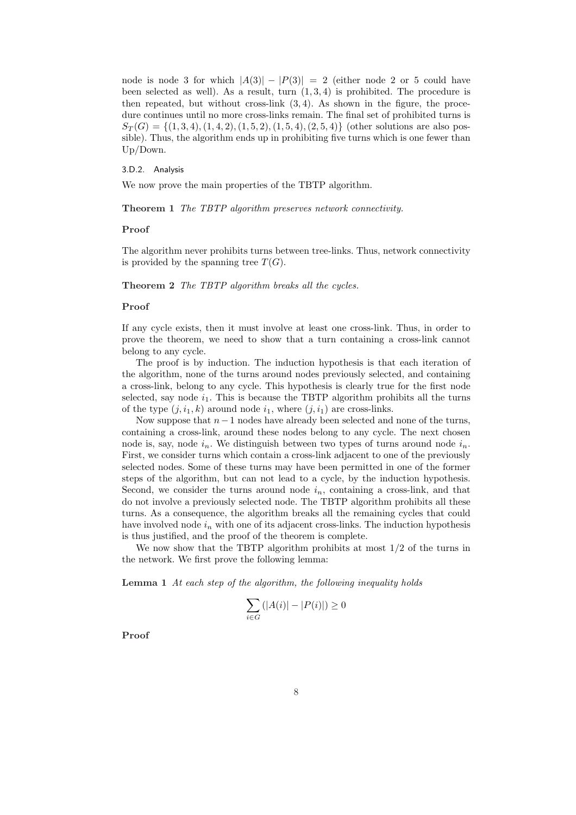<span id="page-7-0"></span>node is node 3 for which  $|A(3)| - |P(3)| = 2$  (either node 2 or 5 could have been selected as well). As a result, turn  $(1, 3, 4)$  is prohibited. The procedure is then repeated, but without cross-link  $(3, 4)$ . As shown in the figure, the procedure continues until no more cross-links remain. The final set of prohibited turns is  $S_T(G) = \{(1,3,4), (1,4,2), (1,5,2), (1,5,4), (2,5,4)\}\$  (other solutions are also possible). Thus, the algorithm ends up in prohibiting five turns which is one fewer than Up/Down.

3.D.2. Analysis

We now prove the main properties of the TBTP algorithm.

Theorem 1 The TBTP algorithm preserves network connectivity.

# Proof

The algorithm never prohibits turns between tree-links. Thus, network connectivity is provided by the spanning tree  $T(G)$ .

Theorem 2 The TBTP algorithm breaks all the cycles.

# Proof

If any cycle exists, then it must involve at least one cross-link. Thus, in order to prove the theorem, we need to show that a turn containing a cross-link cannot belong to any cycle.

The proof is by induction. The induction hypothesis is that each iteration of the algorithm, none of the turns around nodes previously selected, and containing a cross-link, belong to any cycle. This hypothesis is clearly true for the first node selected, say node  $i_1$ . This is because the TBTP algorithm prohibits all the turns of the type  $(j, i_1, k)$  around node  $i_1$ , where  $(j, i_1)$  are cross-links.

Now suppose that  $n-1$  nodes have already been selected and none of the turns, containing a cross-link, around these nodes belong to any cycle. The next chosen node is, say, node  $i_n$ . We distinguish between two types of turns around node  $i_n$ . First, we consider turns which contain a cross-link adjacent to one of the previously selected nodes. Some of these turns may have been permitted in one of the former steps of the algorithm, but can not lead to a cycle, by the induction hypothesis. Second, we consider the turns around node  $i_n$ , containing a cross-link, and that do not involve a previously selected node. The TBTP algorithm prohibits all these turns. As a consequence, the algorithm breaks all the remaining cycles that could have involved node  $i_n$  with one of its adjacent cross-links. The induction hypothesis is thus justified, and the proof of the theorem is complete.

We now show that the TBTP algorithm prohibits at most 1/2 of the turns in the network. We first prove the following lemma:

Lemma 1 At each step of the algorithm, the following inequality holds

$$
\sum_{i \in G} (|A(i)| - |P(i)|) \ge 0
$$

Proof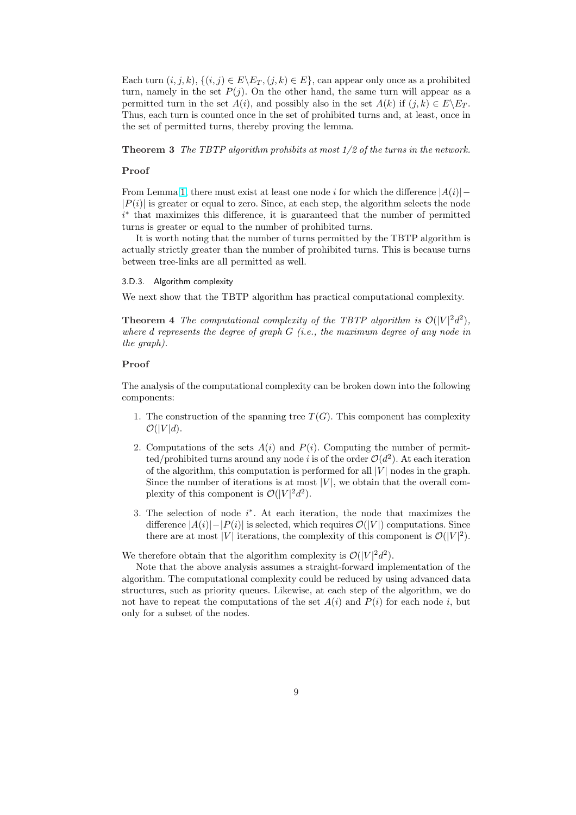Each turn  $(i, j, k)$ ,  $\{(i, j) \in E \setminus E_T, (j, k) \in E\}$ , can appear only once as a prohibited turn, namely in the set  $P(j)$ . On the other hand, the same turn will appear as a permitted turn in the set  $A(i)$ , and possibly also in the set  $A(k)$  if  $(i,k) \in E\setminus E_T$ . Thus, each turn is counted once in the set of prohibited turns and, at least, once in the set of permitted turns, thereby proving the lemma.

**Theorem 3** The TBTP algorithm prohibits at most  $1/2$  of the turns in the network.

# Proof

From Lemma 1, there must exist at least one node i for which the difference  $|A(i)| |P(i)|$  is greater or equal to zero. Since, at each step, the algorithm selects the node i<sup>∗</sup> that maximizes this difference, it is guaranteed that the number of permitted turns is greater or equal to the number of prohibited turns.

It is wort[h n](#page-7-0)oting that the number of turns permitted by the TBTP algorithm is actually strictly greater than the number of prohibited turns. This is because turns between tree-links are all permitted as well.

# 3.D.3. Algorithm complexity

We next show that the TBTP algorithm has practical computational complexity.

**Theorem 4** The computational complexity of the TBTP algorithm is  $\mathcal{O}(|V|^2d^2)$ , where d represents the degree of graph  $G$  (i.e., the maximum degree of any node in the graph).

#### Proof

The analysis of the computational complexity can be broken down into the following components:

- 1. The construction of the spanning tree  $T(G)$ . This component has complexity  $\mathcal{O}(|V|d)$ .
- 2. Computations of the sets  $A(i)$  and  $P(i)$ . Computing the number of permitted/prohibited turns around any node i is of the order  $\mathcal{O}(d^2)$ . At each iteration of the algorithm, this computation is performed for all  $|V|$  nodes in the graph. Since the number of iterations is at most  $|V|$ , we obtain that the overall complexity of this component is  $\mathcal{O}(|V|^2 d^2)$ .
- 3. The selection of node  $i^*$ . At each iteration, the node that maximizes the difference  $|A(i)|-|P(i)|$  is selected, which requires  $\mathcal{O}(|V|)$  computations. Since there are at most |V| iterations, the complexity of this component is  $\mathcal{O}(|V|^2)$ .

We therefore obtain that the algorithm complexity is  $\mathcal{O}(|V|^2 d^2)$ .

Note that the above analysis assumes a straight-forward implementation of the algorithm. The computational complexity could be reduced by using advanced data structures, such as priority queues. Likewise, at each step of the algorithm, we do not have to repeat the computations of the set  $A(i)$  and  $P(i)$  for each node i, but only for a subset of the nodes.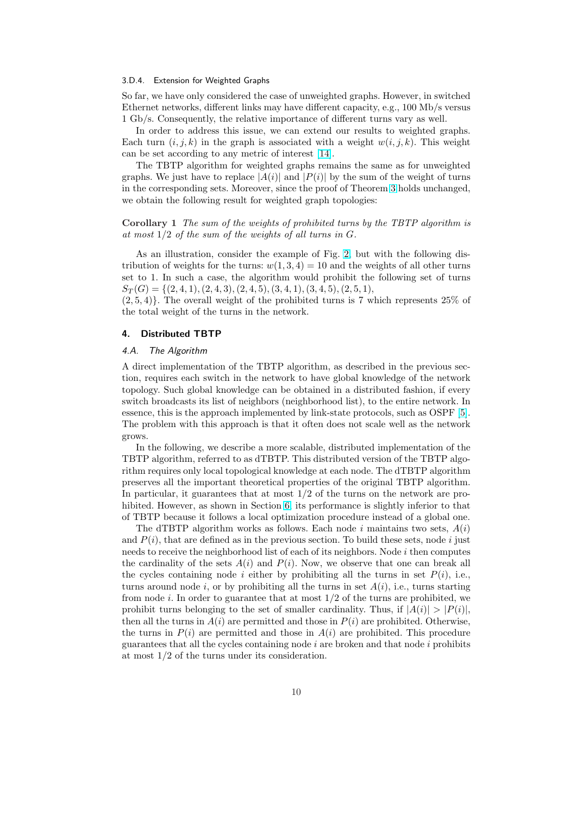#### <span id="page-9-0"></span>3.D.4. Extension for Weighted Graphs

So far, we have only considered the case of unweighted graphs. However, in switched Ethernet networks, different links may have different capacity, e.g., 100 Mb/s versus 1 Gb/s. Consequently, the relative importance of different turns vary as well.

In order to address this issue, we can extend our results to weighted graphs. Each turn  $(i, j, k)$  in the graph is associated with a weight  $w(i, j, k)$ . This weight can be set according to any metric of interest [14].

The TBTP algorithm for weighted graphs remains the same as for unweighted graphs. We just have to replace  $|A(i)|$  and  $|P(i)|$  by the sum of the weight of turns in the corresponding sets. Moreover, since the proof of Theorem 3 holds unchanged, we obtain the following result for weighted gr[aph](#page-20-0) topologies:

Corollary 1 The sum of the weights of prohibited turns by the TBTP algorithm is at most  $1/2$  of the sum of the weights of all turns in  $G$ .

As an illustration, consider the example of Fig. 2, but with the following distribution of weights for the turns:  $w(1, 3, 4) = 10$  and the weights of all other turns set to 1. In such a case, the algorithm would prohibit the following set of turns  $S_T(G) = \{(2,4,1), (2,4,3), (2,4,5), (3,4,1), (3,4,5), (2,5,1),$ 

 $(2, 5, 4)$ . The overall weight of the prohibited turn[s i](#page-6-0)s 7 which represents 25% of the total weight of the turns in the network.

#### 4. Distributed TBTP

# 4.A. The Algorithm

A direct implementation of the TBTP algorithm, as described in the previous section, requires each switch in the network to have global knowledge of the network topology. Such global knowledge can be obtained in a distributed fashion, if every switch broadcasts its list of neighbors (neighborhood list), to the entire network. In essence, this is the approach implemented by link-state protocols, such as OSPF [5]. The problem with this approach is that it often does not scale well as the network grows.

In the following, we describe a more scalable, distributed implementation of the TBTP algorithm, referred to as dTBTP. This distributed version of the TBTP al[go](#page-20-0)rithm requires only local topological knowledge at each node. The dTBTP algorithm preserves all the important theoretical properties of the original TBTP algorithm. In particular, it guarantees that at most 1/2 of the turns on the network are prohibited. However, as shown in Section 6, its performance is slightly inferior to that of TBTP because it follows a local optimization procedure instead of a global one.

The dTBTP algorithm works as follows. Each node i maintains two sets,  $A(i)$ and  $P(i)$ , that are defined as in the previous section. To build these sets, node i just needs to receive the neighborhood list [of e](#page-14-0)ach of its neighbors. Node  $i$  then computes the cardinality of the sets  $A(i)$  and  $P(i)$ . Now, we observe that one can break all the cycles containing node i either by prohibiting all the turns in set  $P(i)$ , i.e., turns around node i, or by prohibiting all the turns in set  $A(i)$ , i.e., turns starting from node i. In order to guarantee that at most  $1/2$  of the turns are prohibited, we prohibit turns belonging to the set of smaller cardinality. Thus, if  $|A(i)| > |P(i)|$ , then all the turns in  $A(i)$  are permitted and those in  $P(i)$  are prohibited. Otherwise, the turns in  $P(i)$  are permitted and those in  $A(i)$  are prohibited. This procedure guarantees that all the cycles containing node  $i$  are broken and that node  $i$  prohibits at most 1/2 of the turns under its consideration.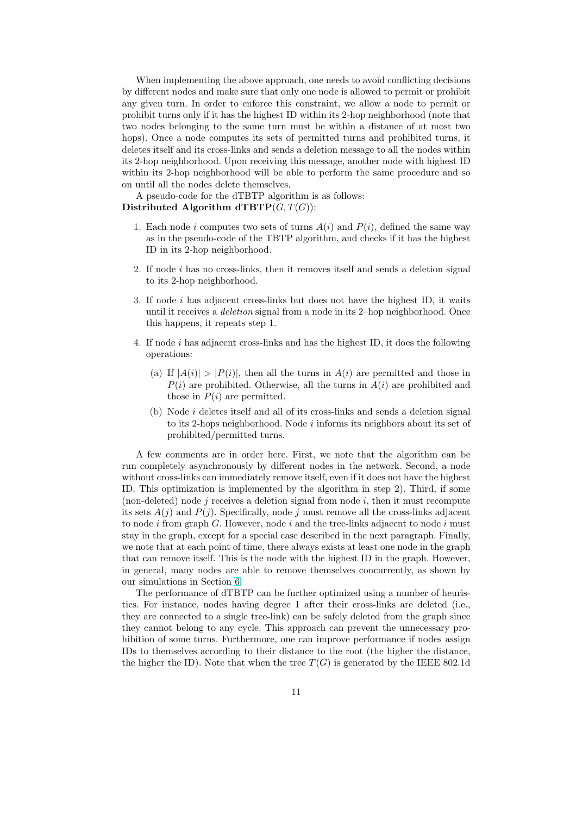When implementing the above approach, one needs to avoid conflicting decisions by different nodes and make sure that only one node is allowed to permit or prohibit any given turn. In order to enforce this constraint, we allow a node to permit or prohibit turns only if it has the highest ID within its 2-hop neighborhood (note that two nodes belonging to the same turn must be within a distance of at most two hops). Once a node computes its sets of permitted turns and prohibited turns, it deletes itself and its cross-links and sends a deletion message to all the nodes within its 2-hop neighborhood. Upon receiving this message, another node with highest ID within its 2-hop neighborhood will be able to perform the same procedure and so on until all the nodes delete themselves.

A pseudo-code for the dTBTP algorithm is as follows: Distributed Algorithm  $\text{dTBTP}(G, T(G))$ :

- 1. Each node i computes two sets of turns  $A(i)$  and  $P(i)$ , defined the same way as in the pseudo-code of the TBTP algorithm, and checks if it has the highest ID in its 2-hop neighborhood.
- 2. If node i has no cross-links, then it removes itself and sends a deletion signal to its 2-hop neighborhood.
- 3. If node i has adjacent cross-links but does not have the highest ID, it waits until it receives a deletion signal from a node in its 2–hop neighborhood. Once this happens, it repeats step 1.
- 4. If node i has adjacent cross-links and has the highest ID, it does the following operations:
	- (a) If  $|A(i)| > |P(i)|$ , then all the turns in  $A(i)$  are permitted and those in  $P(i)$  are prohibited. Otherwise, all the turns in  $A(i)$  are prohibited and those in  $P(i)$  are permitted.
	- (b) Node i deletes itself and all of its cross-links and sends a deletion signal to its 2-hops neighborhood. Node  $i$  informs its neighbors about its set of prohibited/permitted turns.

A few comments are in order here. First, we note that the algorithm can be run completely asynchronously by different nodes in the network. Second, a node without cross-links can immediately remove itself, even if it does not have the highest ID. This optimization is implemented by the algorithm in step 2). Third, if some (non-deleted) node j receives a deletion signal from node  $i$ , then it must recompute its sets  $A(j)$  and  $P(j)$ . Specifically, node j must remove all the cross-links adjacent to node i from graph  $G$ . However, node i and the tree-links adjacent to node i must stay in the graph, except for a special case described in the next paragraph. Finally, we note that at each point of time, there always exists at least one node in the graph that can remove itself. This is the node with the highest ID in the graph. However, in general, many nodes are able to remove themselves concurrently, as shown by our simulations in Section 6.

The performance of dTBTP can be further optimized using a number of heuristics. For instance, nodes having degree 1 after their cross-links are deleted (i.e., they are connected to a single tree-link) can be safely deleted from the graph since they cannot belong to an[y c](#page-14-0)ycle. This approach can prevent the unnecessary prohibition of some turns. Furthermore, one can improve performance if nodes assign IDs to themselves according to their distance to the root (the higher the distance, the higher the ID). Note that when the tree  $T(G)$  is generated by the IEEE 802.1d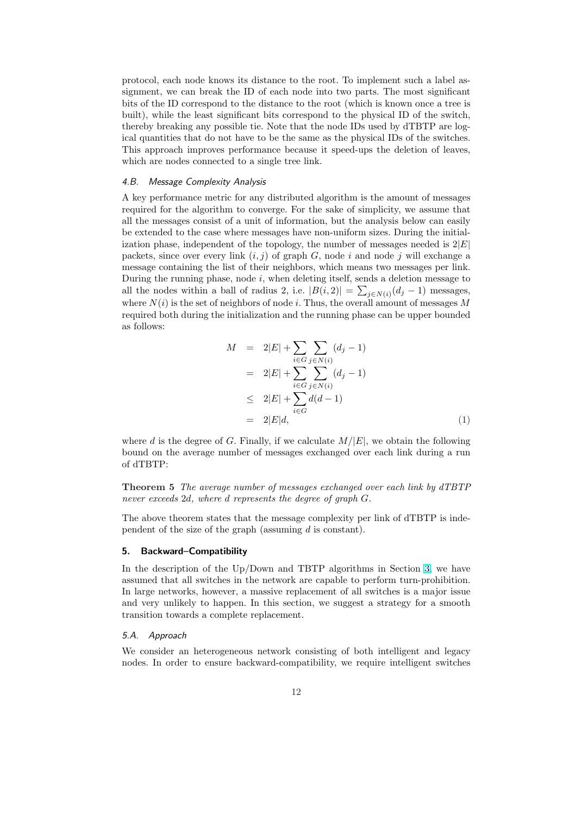<span id="page-11-0"></span>protocol, each node knows its distance to the root. To implement such a label assignment, we can break the ID of each node into two parts. The most significant bits of the ID correspond to the distance to the root (which is known once a tree is built), while the least significant bits correspond to the physical ID of the switch, thereby breaking any possible tie. Note that the node IDs used by dTBTP are logical quantities that do not have to be the same as the physical IDs of the switches. This approach improves performance because it speed-ups the deletion of leaves, which are nodes connected to a single tree link.

# 4.B. Message Complexity Analysis

A key performance metric for any distributed algorithm is the amount of messages required for the algorithm to converge. For the sake of simplicity, we assume that all the messages consist of a unit of information, but the analysis below can easily be extended to the case where messages have non-uniform sizes. During the initialization phase, independent of the topology, the number of messages needed is  $2|E|$ packets, since over every link  $(i, j)$  of graph G, node i and node j will exchange a message containing the list of their neighbors, which means two messages per link. During the running phase, node  $i$ , when deleting itself, sends a deletion message to all the nodes within a ball of radius 2, i.e.  $|B(i, 2)| = \sum_{j \in N(i)} (d_j - 1)$  messages, where  $N(i)$  is the set of neighbors of node i. Thus, the overall amount of messages M required both during the initialization and the running phase can be upper bounded as follows:

$$
M = 2|E| + \sum_{i \in G} \sum_{j \in N(i)} (d_j - 1)
$$
  
= 2|E| +  $\sum_{i \in G} \sum_{j \in N(i)} (d_j - 1)$   
 $\leq 2|E| + \sum_{i \in G} d(d - 1)$   
= 2|E|d, (1)

where d is the degree of G. Finally, if we calculate  $M/|E|$ , we obtain the following bound on the average number of messages exchanged over each link during a run of dTBTP:

Theorem 5 The average number of messages exchanged over each link by dTBTP never exceeds 2d, where d represents the degree of graph G.

The above theorem states that the message complexity per link of dTBTP is independent of the size of the graph (assuming d is constant).

#### 5. Backward–Compatibility

In the description of the Up/Down and TBTP algorithms in Section 3, we have assumed that all switches in the network are capable to perform turn-prohibition. In large networks, however, a massive replacement of all switches is a major issue and very unlikely to happen. In this section, we suggest a strategy for a smooth transition towards a complete replacement.

#### 5.A. Approach

We consider an heterogeneous network consisting of both intelligent and legacy nodes. In order to ensure backward-compatibility, we require intelligent switches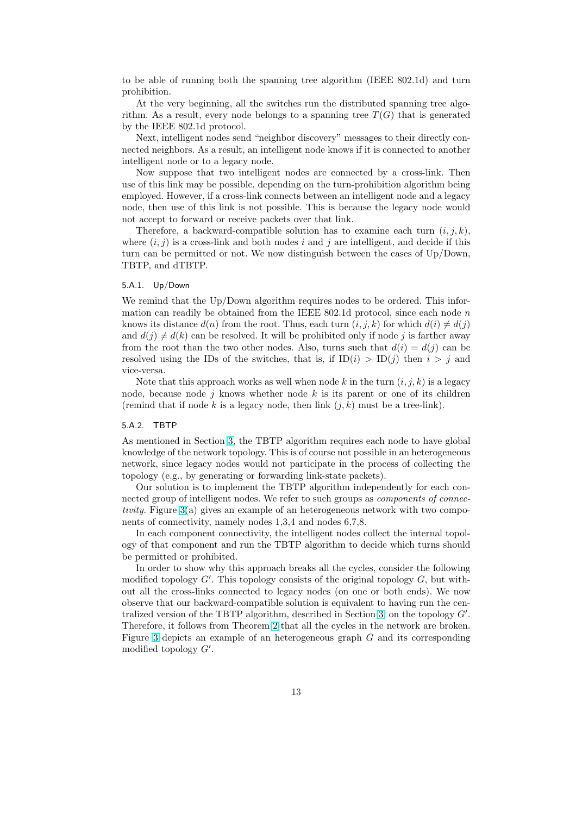to be able of running both the spanning tree algorithm (IEEE 802.1d) and turn prohibition.

At the very beginning, all the switches run the distributed spanning tree algorithm. As a result, every node belongs to a spanning tree  $T(G)$  that is generated by the IEEE 802.1d protocol.

Next, intelligent nodes send "neighbor discovery" messages to their directly connected neighbors. As a result, an intelligent node knows if it is connected to another intelligent node or to a legacy node.

Now suppose that two intelligent nodes are connected by a cross-link. Then use of this link may be possible, depending on the turn-prohibition algorithm being employed. However, if a cross-link connects between an intelligent node and a legacy node, then use of this link is not possible. This is because the legacy node would not accept to forward or receive packets over that link.

Therefore, a backward-compatible solution has to examine each turn  $(i, j, k)$ , where  $(i, j)$  is a cross-link and both nodes i and j are intelligent, and decide if this turn can be permitted or not. We now distinguish between the cases of Up/Down, TBTP, and dTBTP.

#### 5.A.1. Up/Down

We remind that the Up/Down algorithm requires nodes to be ordered. This information can readily be obtained from the IEEE  $802.1d$  protocol, since each node n knows its distance  $d(n)$  from the root. Thus, each turn  $(i, j, k)$  for which  $d(i) \neq d(j)$ and  $d(j) \neq d(k)$  can be resolved. It will be prohibited only if node j is farther away from the root than the two other nodes. Also, turns such that  $d(i) = d(j)$  can be resolved using the IDs of the switches, that is, if  $ID(i) > ID(j)$  then  $i > j$  and vice-versa.

Note that this approach works as well when node k in the turn  $(i, j, k)$  is a legacy node, because node  $j$  knows whether node  $k$  is its parent or one of its children (remind that if node k is a legacy node, then link  $(j, k)$  must be a tree-link).

### 5.A.2. TBTP

As mentioned in Section 3, the TBTP algorithm requires each node to have global knowledge of the network topology. This is of course not possible in an heterogeneous network, since legacy nodes would not participate in the process of collecting the topology (e.g., by generating or forwarding link-state packets).

Our solution is to im[ple](#page-4-0)ment the TBTP algorithm independently for each connected group of intelligent nodes. We refer to such groups as *components of connec*tivity. Figure 3(a) gives an example of an heterogeneous network with two components of connectivity, namely nodes 1,3,4 and nodes 6,7,8.

In each component connectivity, the intelligent nodes collect the internal topology of that component and run the TBTP algorithm to decide which turns should be permitted [or](#page-13-0) prohibited.

In order to show why this approach breaks all the cycles, consider the following modified topology  $G'$ . This topology consists of the original topology  $G$ , but without all the cross-links connected to legacy nodes (on one or both ends). We now observe that our backward-compatible solution is equivalent to having run the centralized version of the TBTP algorithm, described in Section 3, on the topology  $G'$ . Therefore, it follows from Theorem 2 that all the cycles in the network are broken. Figure 3 depicts an example of an heterogeneous graph  $G$  and its corresponding modified topology  $G'$ .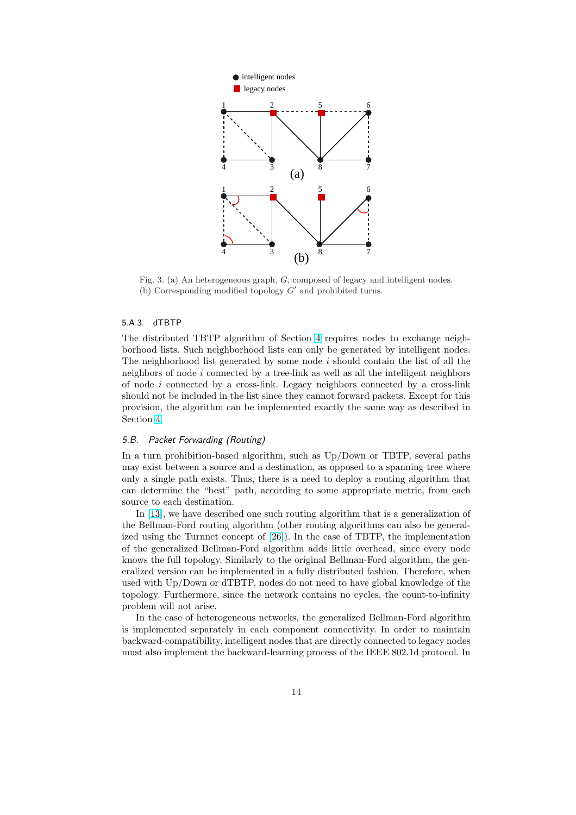<span id="page-13-0"></span>

Fig. 3. (a) An heterogeneous graph, G, composed of legacy and intelligent nodes. (b) Corresponding modified topology  $G'$  and prohibited turns.

#### 5.A.3. dTBTP

The distributed TBTP algorithm of Section 4 requires nodes to exchange neighborhood lists. Such neighborhood lists can only be generated by intelligent nodes. The neighborhood list generated by some node  $i$  should contain the list of all the neighbors of node  $i$  connected by a tree-link as well as all the intelligent neighbors of [n](#page-9-0)ode  $i$  connected by a cross-link. Legacy neighbors connected by a cross-link should not be included in the list since they cannot forward packets. Except for this provision, the algorithm can be implemented exactly the same way as described in Section 4.

# 5.B. Packet Forwarding (Routing)

In a turn prohibition-based algorithm, such as Up/Down or TBTP, several paths may exi[st](#page-9-0) between a source and a destination, as opposed to a spanning tree where only a single path exists. Thus, there is a need to deploy a routing algorithm that can determine the "best" path, according to some appropriate metric, from each source to each destination.

In [13], we have described one such routing algorithm that is a generalization of the Bellman-Ford routing algorithm (other routing algorithms can also be generalized using the Turnnet concept of [26]). In the case of TBTP, the implementation of the generalized Bellman-Ford algorithm adds little overhead, since every node knows [the](#page-20-0) full topology. Similarly to the original Bellman-Ford algorithm, the generalized version can be implemented in a fully distributed fashion. Therefore, when used with Up/Down or dTBTP, no[des](#page-21-0) do not need to have global knowledge of the topology. Furthermore, since the network contains no cycles, the count-to-infinity problem will not arise.

In the case of heterogeneous networks, the generalized Bellman-Ford algorithm is implemented separately in each component connectivity. In order to maintain backward-compatibility, intelligent nodes that are directly connected to legacy nodes must also implement the backward-learning process of the IEEE 802.1d protocol. In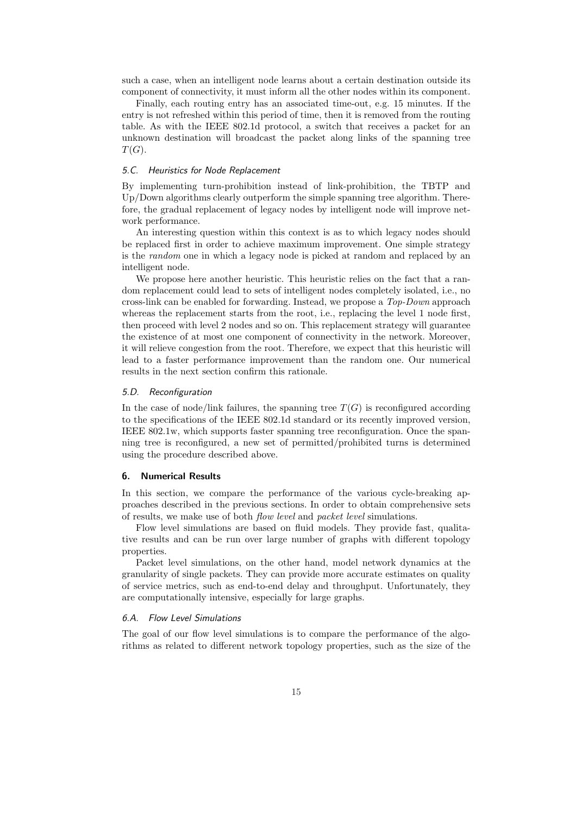<span id="page-14-0"></span>such a case, when an intelligent node learns about a certain destination outside its component of connectivity, it must inform all the other nodes within its component.

Finally, each routing entry has an associated time-out, e.g. 15 minutes. If the entry is not refreshed within this period of time, then it is removed from the routing table. As with the IEEE 802.1d protocol, a switch that receives a packet for an unknown destination will broadcast the packet along links of the spanning tree  $T(G).$ 

# 5.C. Heuristics for Node Replacement

By implementing turn-prohibition instead of link-prohibition, the TBTP and Up/Down algorithms clearly outperform the simple spanning tree algorithm. Therefore, the gradual replacement of legacy nodes by intelligent node will improve network performance.

An interesting question within this context is as to which legacy nodes should be replaced first in order to achieve maximum improvement. One simple strategy is the random one in which a legacy node is picked at random and replaced by an intelligent node.

We propose here another heuristic. This heuristic relies on the fact that a random replacement could lead to sets of intelligent nodes completely isolated, i.e., no cross-link can be enabled for forwarding. Instead, we propose a Top-Down approach whereas the replacement starts from the root, i.e., replacing the level 1 node first, then proceed with level 2 nodes and so on. This replacement strategy will guarantee the existence of at most one component of connectivity in the network. Moreover, it will relieve congestion from the root. Therefore, we expect that this heuristic will lead to a faster performance improvement than the random one. Our numerical results in the next section confirm this rationale.

#### 5.D. Reconfiguration

In the case of node/link failures, the spanning tree  $T(G)$  is reconfigured according to the specifications of the IEEE 802.1d standard or its recently improved version, IEEE 802.1w, which supports faster spanning tree reconfiguration. Once the spanning tree is reconfigured, a new set of permitted/prohibited turns is determined using the procedure described above.

# 6. Numerical Results

In this section, we compare the performance of the various cycle-breaking approaches described in the previous sections. In order to obtain comprehensive sets of results, we make use of both flow level and packet level simulations.

Flow level simulations are based on fluid models. They provide fast, qualitative results and can be run over large number of graphs with different topology properties.

Packet level simulations, on the other hand, model network dynamics at the granularity of single packets. They can provide more accurate estimates on quality of service metrics, such as end-to-end delay and throughput. Unfortunately, they are computationally intensive, especially for large graphs.

# 6.A. Flow Level Simulations

The goal of our flow level simulations is to compare the performance of the algorithms as related to different network topology properties, such as the size of the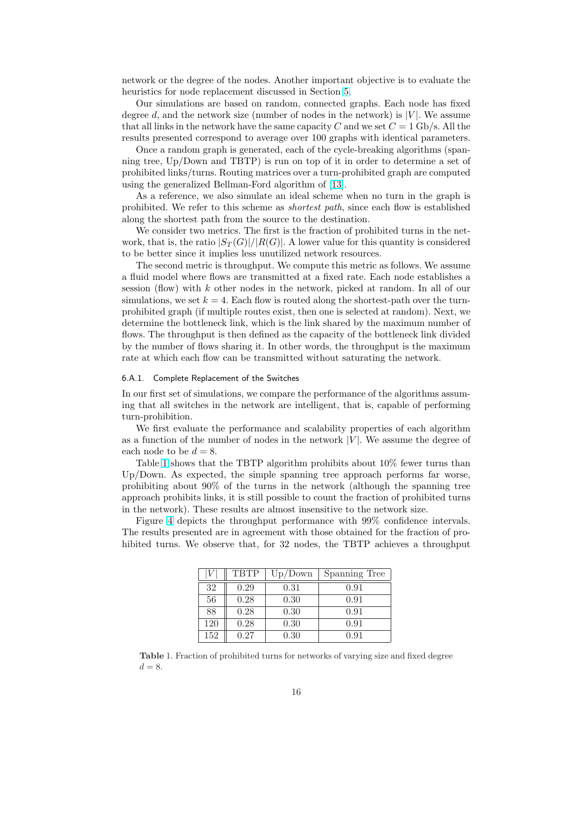network or the degree of the nodes. Another important objective is to evaluate the heuristics for node replacement discussed in Section 5.

Our simulations are based on random, connected graphs. Each node has fixed degree d, and the network size (number of nodes in the network) is  $|V|$ . We assume that all links in the network have the same capacity C and we set  $C = 1$  Gb/s. All the results presented correspond to average over 100 gra[ph](#page-11-0)s with identical parameters.

Once a random graph is generated, each of the cycle-breaking algorithms (spanning tree, Up/Down and TBTP) is run on top of it in order to determine a set of prohibited links/turns. Routing matrices over a turn-prohibited graph are computed using the generalized Bellman-Ford algorithm of [13].

As a reference, we also simulate an ideal scheme when no turn in the graph is prohibited. We refer to this scheme as shortest path, since each flow is established along the shortest path from the source to the destination.

We consider two metrics. The first is the fracti[on](#page-20-0) of prohibited turns in the network, that is, the ratio  $|S_T(G)|/|R(G)|$ . A lower value for this quantity is considered to be better since it implies less unutilized network resources.

The second metric is throughput. We compute this metric as follows. We assume a fluid model where flows are transmitted at a fixed rate. Each node establishes a session (flow) with k other nodes in the network, picked at random. In all of our simulations, we set  $k = 4$ . Each flow is routed along the shortest-path over the turnprohibited graph (if multiple routes exist, then one is selected at random). Next, we determine the bottleneck link, which is the link shared by the maximum number of flows. The throughput is then defined as the capacity of the bottleneck link divided by the number of flows sharing it. In other words, the throughput is the maximum rate at which each flow can be transmitted without saturating the network.

# 6.A.1. Complete Replacement of the Switches

In our first set of simulations, we compare the performance of the algorithms assuming that all switches in the network are intelligent, that is, capable of performing turn-prohibition.

We first evaluate the performance and scalability properties of each algorithm as a function of the number of nodes in the network  $|V|$ . We assume the degree of each node to be  $d = 8$ .

Table 1 shows that the TBTP algorithm prohibits about 10% fewer turns than Up/Down. As expected, the simple spanning tree approach performs far worse, prohibiting about 90% of the turns in the network (although the spanning tree approach prohibits links, it is still possible to count the fraction of prohibited turns in the network). These results are almost insensitive to the network size.

Figure 4 depicts the throughput performance with 99% confidence intervals. The results presented are in agreement with those obtained for the fraction of prohibited turns. We observe that, for 32 nodes, the TBTP achieves a throughput

|     | <b>TBTP</b> | Up/Down | Spanning Tree |
|-----|-------------|---------|---------------|
| 32  | 0.29        | 0.31    | 0.91          |
| 56  | 0.28        | 0.30    | 0.91          |
| 88  | 0.28        | 0.30    | 0.91          |
| 120 | 0.28        | 0.30    | 0.91          |
| 152 | 0.27        | 0.30    | 0.91          |

Table 1. Fraction of prohibited turns for networks of varying size and fixed degree  $d = 8$ .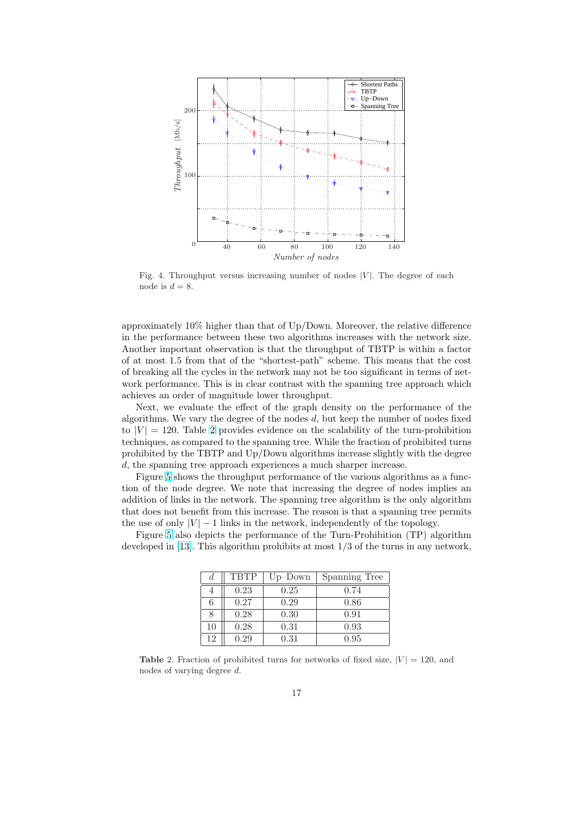

Fig. 4. Throughput versus increasing number of nodes  $|V|$ . The degree of each node is  $d = 8$ .

approximately 10% higher than that of Up/Down. Moreover, the relative difference in the performance between these two algorithms increases with the network size. Another important observation is that the throughput of TBTP is within a factor of at most 1.5 from that of the "shortest-path" scheme. This means that the cost of breaking all the cycles in the network may not be too significant in terms of network performance. This is in clear contrast with the spanning tree approach which achieves an order of magnitude lower throughput.

Next, we evaluate the effect of the graph density on the performance of the algorithms. We vary the degree of the nodes d, but keep the number of nodes fixed to  $|V| = 120$ . Table 2 provides evidence on the scalability of the turn-prohibition techniques, as compared to the spanning tree. While the fraction of prohibited turns prohibited by the TBTP and Up/Down algorithms increase slightly with the degree d, the spanning tree approach experiences a much sharper increase.

Figure 5 shows the throughput performance of the various algorithms as a function of the node degree. We note that increasing the degree of nodes implies an addition of links in the network. The spanning tree algorithm is the only algorithm that does not benefit from this increase. The reason is that a spanning tree permits the use of [on](#page-17-0)ly  $|V| - 1$  links in the network, independently of the topology.

Figure 5 also depicts the performance of the Turn-Prohibition (TP) algorithm developed in [13]. This algorithm prohibits at most 1/3 of the turns in any network,

| d  | <b>TBTP</b> | $Up$ -Down | Spanning Tree |
|----|-------------|------------|---------------|
|    | 0.23        | 0.25       | 0.74          |
| 6  | 0.27        | 0.29       | 0.86          |
| 8  | 0.28        | 0.30       | 0.91          |
| 10 | 0.28        | 0.31       | 0.93          |
| 12 | 0.29        | 0.31       | 0.95          |

**Table 2.** Fraction of prohibited turns for networks of fixed size,  $|V| = 120$ , and nodes of varying degree d.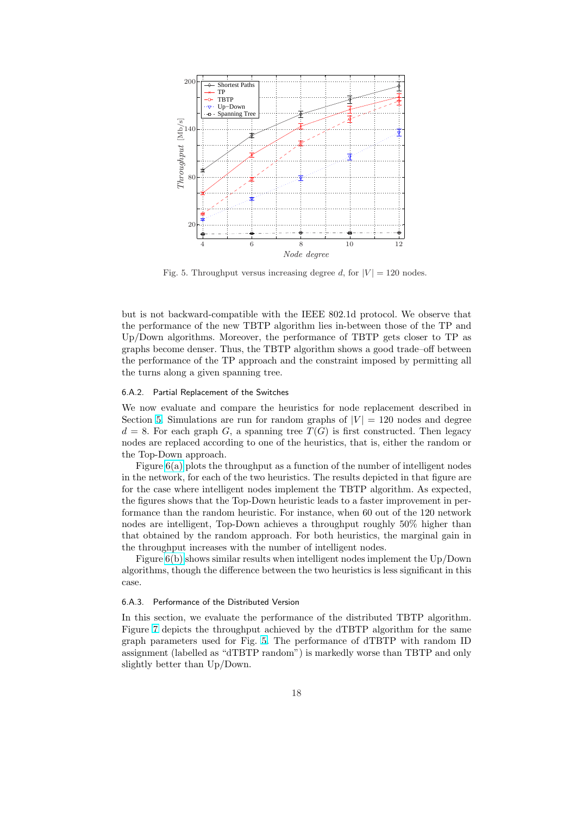<span id="page-17-0"></span>

Fig. 5. Throughput versus increasing degree d, for  $|V| = 120$  nodes.

but is not backward-compatible with the IEEE 802.1d protocol. We observe that the performance of the new TBTP algorithm lies in-between those of the TP and Up/Down algorithms. Moreover, the performance of TBTP gets closer to TP as graphs become denser. Thus, the TBTP algorithm shows a good trade–off between the performance of the TP approach and the constraint imposed by permitting all the turns along a given spanning tree.

#### 6.A.2. Partial Replacement of the Switches

We now evaluate and compare the heuristics for node replacement described in Section 5. Simulations are run for random graphs of  $|V| = 120$  nodes and degree  $d = 8$ . For each graph G, a spanning tree  $T(G)$  is first constructed. Then legacy nodes are replaced according to one of the heuristics, that is, either the random or the Top-Down approach.

Fig[ure](#page-11-0) 6(a) plots the throughput as a function of the number of intelligent nodes in the network, for each of the two heuristics. The results depicted in that figure are for the case where intelligent nodes implement the TBTP algorithm. As expected, the figures shows that the Top-Down heuristic leads to a faster improvement in performance [than](#page-22-0) the random heuristic. For instance, when 60 out of the 120 network nodes are intelligent, Top-Down achieves a throughput roughly 50% higher than that obtained by the random approach. For both heuristics, the marginal gain in the throughput increases with the number of intelligent nodes.

Figure 6(b) shows similar results when intelligent nodes implement the Up/Down algorithms, though the difference between the two heuristics is less significant in this case.

#### 6.A.3. Pe[rforma](#page-22-0)nce of the Distributed Version

In this section, we evaluate the performance of the distributed TBTP algorithm. Figure 7 depicts the throughput achieved by the dTBTP algorithm for the same graph parameters used for Fig. 5. The performance of dTBTP with random ID assignment (labelled as "dTBTP random") is markedly worse than TBTP and only slightly better than Up/Down.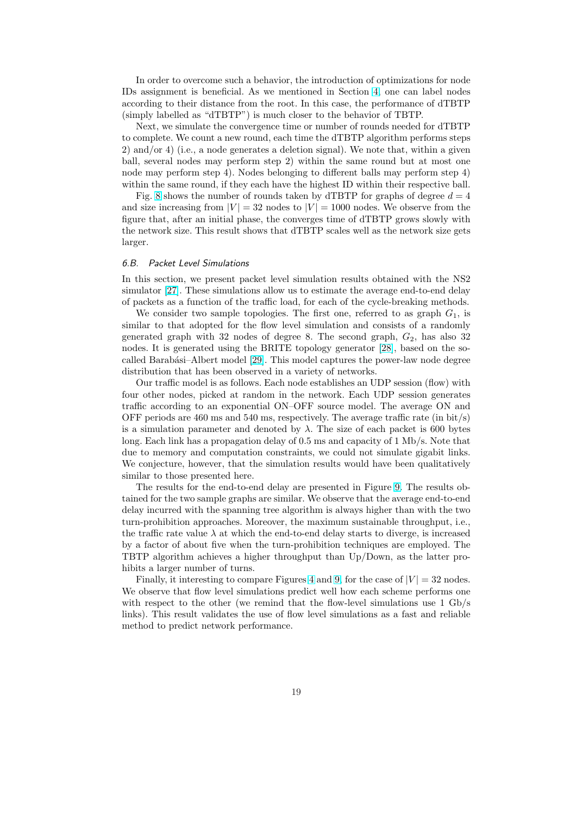In order to overcome such a behavior, the introduction of optimizations for node IDs assignment is beneficial. As we mentioned in Section 4, one can label nodes according to their distance from the root. In this case, the performance of dTBTP (simply labelled as "dTBTP") is much closer to the behavior of TBTP.

Next, we simulate the convergence time or number of rounds needed for dTBTP to complete. We count a new round, each time the dTBTP a[lgo](#page-9-0)rithm performs steps 2) and/or 4) (i.e., a node generates a deletion signal). We note that, within a given ball, several nodes may perform step 2) within the same round but at most one node may perform step 4). Nodes belonging to different balls may perform step 4) within the same round, if they each have the highest ID within their respective ball.

Fig. 8 shows the number of rounds taken by dTBTP for graphs of degree  $d = 4$ and size increasing from  $|V| = 32$  nodes to  $|V| = 1000$  nodes. We observe from the figure that, after an initial phase, the converges time of dTBTP grows slowly with the network size. This result shows that dTBTP scales well as the network size gets larger.

#### 6.B. Packet Level Simulations

In this section, we present packet level simulation results obtained with the NS2 simulator [27]. These simulations allow us to estimate the average end-to-end delay of packets as a function of the traffic load, for each of the cycle-breaking methods.

We consider two sample topologies. The first one, referred to as graph  $G_1$ , is similar to that adopted for the flow level simulation and consists of a randomly generated [gra](#page-21-0)ph with 32 nodes of degree 8. The second graph,  $G_2$ , has also 32 nodes. It is generated using the BRITE topology generator [28], based on the socalled Barabási–Albert model [29]. This model captures the power-law node degree distribution that has been observed in a variety of networks.

Our traffic model is as follows. Each node establishes an UDP session (flow) with four other nodes, picked at random in the network. Each [UDP](#page-21-0) session generates traffic according to an expone[ntia](#page-21-0)l ON–OFF source model. The average ON and OFF periods are 460 ms and 540 ms, respectively. The average traffic rate (in bit/s) is a simulation parameter and denoted by  $\lambda$ . The size of each packet is 600 bytes long. Each link has a propagation delay of 0.5 ms and capacity of 1 Mb/s. Note that due to memory and computation constraints, we could not simulate gigabit links. We conjecture, however, that the simulation results would have been qualitatively similar to those presented here.

The results for the end-to-end delay are presented in Figure 9. The results obtained for the two sample graphs are similar. We observe that the average end-to-end delay incurred with the spanning tree algorithm is always higher than with the two turn-prohibition approaches. Moreover, the maximum sustainable throughput, i.e., the traffic rate value  $\lambda$  at which the end-to-end delay starts to d[ive](#page-24-0)rge, is increased by a factor of about five when the turn-prohibition techniques are employed. The TBTP algorithm achieves a higher throughput than Up/Down, as the latter prohibits a larger number of turns.

Finally, it interesting to compare Figures 4 and 9, for the case of  $|V| = 32$  nodes. We observe that flow level simulations predict well how each scheme performs one with respect to the other (we remind that the flow-level simulations use 1 Gb/s links). This result validates the use of flow level simulations as a fast and reliable method to predict network performance.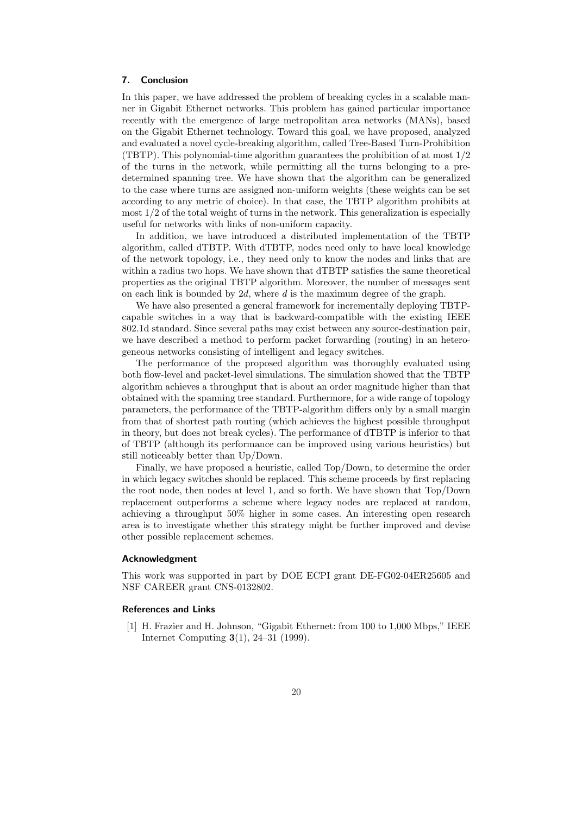# <span id="page-19-0"></span>7. Conclusion

In this paper, we have addressed the problem of breaking cycles in a scalable manner in Gigabit Ethernet networks. This problem has gained particular importance recently with the emergence of large metropolitan area networks (MANs), based on the Gigabit Ethernet technology. Toward this goal, we have proposed, analyzed and evaluated a novel cycle-breaking algorithm, called Tree-Based Turn-Prohibition (TBTP). This polynomial-time algorithm guarantees the prohibition of at most  $1/2$ of the turns in the network, while permitting all the turns belonging to a predetermined spanning tree. We have shown that the algorithm can be generalized to the case where turns are assigned non-uniform weights (these weights can be set according to any metric of choice). In that case, the TBTP algorithm prohibits at most  $1/2$  of the total weight of turns in the network. This generalization is especially useful for networks with links of non-uniform capacity.

In addition, we have introduced a distributed implementation of the TBTP algorithm, called dTBTP. With dTBTP, nodes need only to have local knowledge of the network topology, i.e., they need only to know the nodes and links that are within a radius two hops. We have shown that dTBTP satisfies the same theoretical properties as the original TBTP algorithm. Moreover, the number of messages sent on each link is bounded by  $2d$ , where d is the maximum degree of the graph.

We have also presented a general framework for incrementally deploying TBTPcapable switches in a way that is backward-compatible with the existing IEEE 802.1d standard. Since several paths may exist between any source-destination pair, we have described a method to perform packet forwarding (routing) in an heterogeneous networks consisting of intelligent and legacy switches.

The performance of the proposed algorithm was thoroughly evaluated using both flow-level and packet-level simulations. The simulation showed that the TBTP algorithm achieves a throughput that is about an order magnitude higher than that obtained with the spanning tree standard. Furthermore, for a wide range of topology parameters, the performance of the TBTP-algorithm differs only by a small margin from that of shortest path routing (which achieves the highest possible throughput in theory, but does not break cycles). The performance of dTBTP is inferior to that of TBTP (although its performance can be improved using various heuristics) but still noticeably better than Up/Down.

Finally, we have proposed a heuristic, called Top/Down, to determine the order in which legacy switches should be replaced. This scheme proceeds by first replacing the root node, then nodes at level 1, and so forth. We have shown that Top/Down replacement outperforms a scheme where legacy nodes are replaced at random, achieving a throughput 50% higher in some cases. An interesting open research area is to investigate whether this strategy might be further improved and devise other possible replacement schemes.

#### Acknowledgment

This work was supported in part by DOE ECPI grant DE-FG02-04ER25605 and NSF CAREER grant CNS-0132802.

# References and Links

[1] H. Frazier and H. Johnson, "Gigabit Ethernet: from 100 to 1,000 Mbps," IEEE Internet Computing 3(1), 24–31 (1999).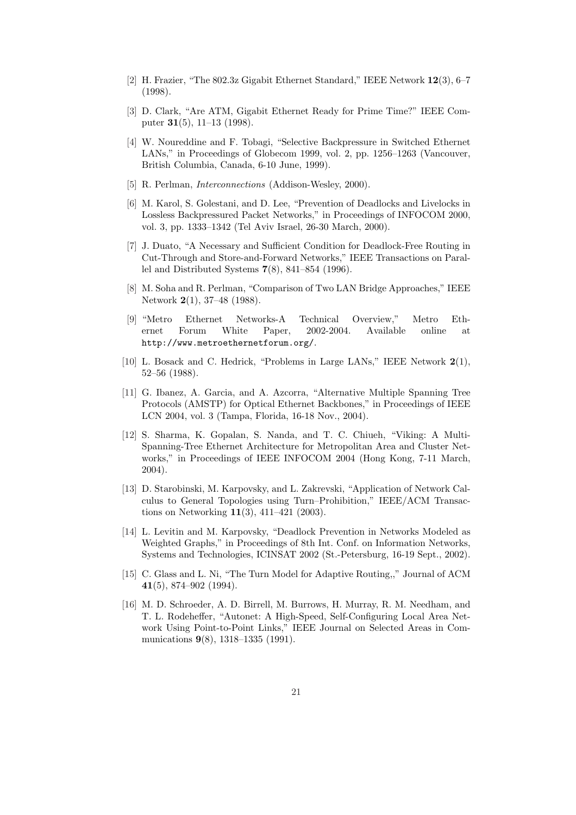- <span id="page-20-0"></span>[2] H. Frazier, "The 802.3z Gigabit Ethernet Standard," IEEE Network 12(3), 6–7 (1998).
- [3] D. Clark, "Are ATM, Gigabit Ethernet Ready for Prime Time?" IEEE Computer 31(5), 11–13 (1998).
- [4] W. Noureddine and F. Tobagi, "Selective Backpressure in Switched Ethernet LANs," in Proceedings of Globecom 1999, vol. 2, pp. 1256–1263 (Vancouver, British Columbia, Canada, 6-10 June, 1999).
- [5] R. Perlman, *Interconnections* (Addison-Wesley, 2000).
- [6] M. Karol, S. Golestani, and D. Lee, "Prevention of Deadlocks and Livelocks in Lossless Backpressured Packet Networks," in Proceedings of INFOCOM 2000, vol. 3, pp. 1333–1342 (Tel Aviv Israel, 26-30 March, 2000).
- [7] J. Duato, "A Necessary and Sufficient Condition for Deadlock-Free Routing in Cut-Through and Store-and-Forward Networks," IEEE Transactions on Parallel and Distributed Systems 7(8), 841–854 (1996).
- [8] M. Soha and R. Perlman, "Comparison of Two LAN Bridge Approaches," IEEE Network 2(1), 37–48 (1988).
- [9] "Metro Ethernet Networks-A Technical Overview," Metro Ethernet Forum White Paper, 2002-2004. Available online at http://www.metroethernetforum.org/.
- [10] L. Bosack and C. Hedrick, "Problems in Large LANs," IEEE Network 2(1), 52–56 (1988).
- [11] G. Ibanez, A. Garcia, and A. Azcorra, "Alternative Multiple Spanning Tree Protocols (AMSTP) for Optical Ethernet Backbones," in Proceedings of IEEE LCN 2004, vol. 3 (Tampa, Florida, 16-18 Nov., 2004).
- [12] S. Sharma, K. Gopalan, S. Nanda, and T. C. Chiueh, "Viking: A Multi-Spanning-Tree Ethernet Architecture for Metropolitan Area and Cluster Networks," in Proceedings of IEEE INFOCOM 2004 (Hong Kong, 7-11 March, 2004).
- [13] D. Starobinski, M. Karpovsky, and L. Zakrevski, "Application of Network Calculus to General Topologies using Turn–Prohibition," IEEE/ACM Transactions on Networking 11(3), 411–421 (2003).
- [14] L. Levitin and M. Karpovsky, "Deadlock Prevention in Networks Modeled as Weighted Graphs," in Proceedings of 8th Int. Conf. on Information Networks, Systems and Technologies, ICINSAT 2002 (St.-Petersburg, 16-19 Sept., 2002).
- [15] C. Glass and L. Ni, "The Turn Model for Adaptive Routing,," Journal of ACM 41(5), 874–902 (1994).
- [16] M. D. Schroeder, A. D. Birrell, M. Burrows, H. Murray, R. M. Needham, and T. L. Rodeheffer, "Autonet: A High-Speed, Self-Configuring Local Area Network Using Point-to-Point Links," IEEE Journal on Selected Areas in Communications 9(8), 1318–1335 (1991).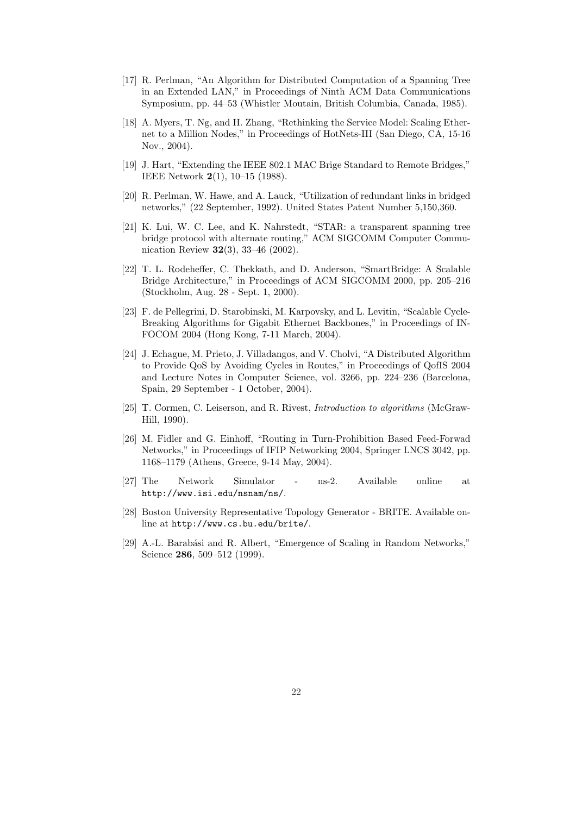- <span id="page-21-0"></span>[17] R. Perlman, "An Algorithm for Distributed Computation of a Spanning Tree in an Extended LAN," in Proceedings of Ninth ACM Data Communications Symposium, pp. 44–53 (Whistler Moutain, British Columbia, Canada, 1985).
- [18] A. Myers, T. Ng, and H. Zhang, "Rethinking the Service Model: Scaling Ethernet to a Million Nodes," in Proceedings of HotNets-III (San Diego, CA, 15-16 Nov., 2004).
- [19] J. Hart, "Extending the IEEE 802.1 MAC Brige Standard to Remote Bridges," IEEE Network 2(1), 10–15 (1988).
- [20] R. Perlman, W. Hawe, and A. Lauck, "Utilization of redundant links in bridged networks," (22 September, 1992). United States Patent Number 5,150,360.
- [21] K. Lui, W. C. Lee, and K. Nahrstedt, "STAR: a transparent spanning tree bridge protocol with alternate routing," ACM SIGCOMM Computer Communication Review 32(3), 33–46 (2002).
- [22] T. L. Rodeheffer, C. Thekkath, and D. Anderson, "SmartBridge: A Scalable Bridge Architecture," in Proceedings of ACM SIGCOMM 2000, pp. 205–216 (Stockholm, Aug. 28 - Sept. 1, 2000).
- [23] F. de Pellegrini, D. Starobinski, M. Karpovsky, and L. Levitin, "Scalable Cycle-Breaking Algorithms for Gigabit Ethernet Backbones," in Proceedings of IN-FOCOM 2004 (Hong Kong, 7-11 March, 2004).
- [24] J. Echague, M. Prieto, J. Villadangos, and V. Cholvi, "A Distributed Algorithm to Provide QoS by Avoiding Cycles in Routes," in Proceedings of QofIS 2004 and Lecture Notes in Computer Science, vol. 3266, pp. 224–236 (Barcelona, Spain, 29 September - 1 October, 2004).
- [25] T. Cormen, C. Leiserson, and R. Rivest, Introduction to algorithms (McGraw-Hill, 1990).
- [26] M. Fidler and G. Einhoff, "Routing in Turn-Prohibition Based Feed-Forwad Networks," in Proceedings of IFIP Networking 2004, Springer LNCS 3042, pp. 1168–1179 (Athens, Greece, 9-14 May, 2004).
- [27] The Network Simulator ns-2. Available online at http://www.isi.edu/nsnam/ns/.
- [28] Boston University Representative Topology Generator BRITE. Available online at http://www.cs.bu.edu/brite/.
- [29] A.-L. Barabási and R. Albert, "Emergence of Scaling in Random Networks," Science 286, 509-512 (1999).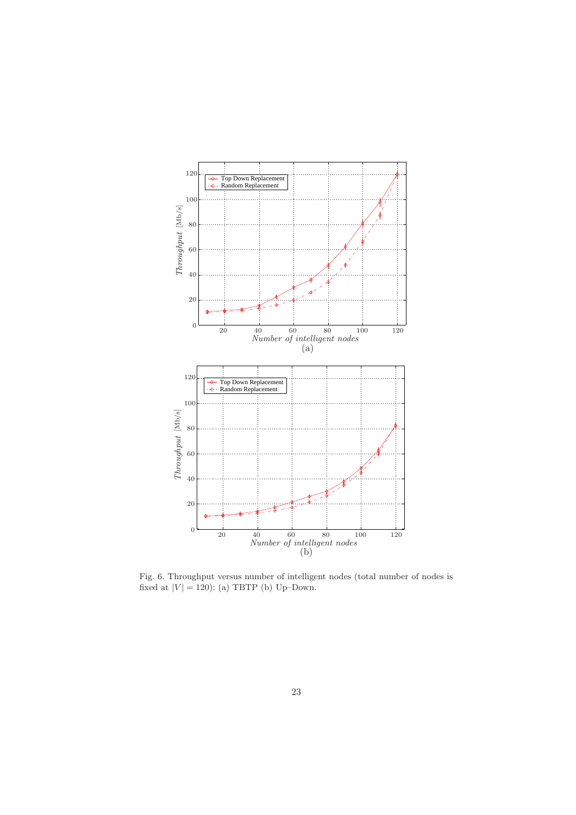<span id="page-22-0"></span>

Fig. 6. Throughput versus number of intelligent nodes (total number of nodes is fixed at  $|V| = 120$ : (a) TBTP (b) Up–Down.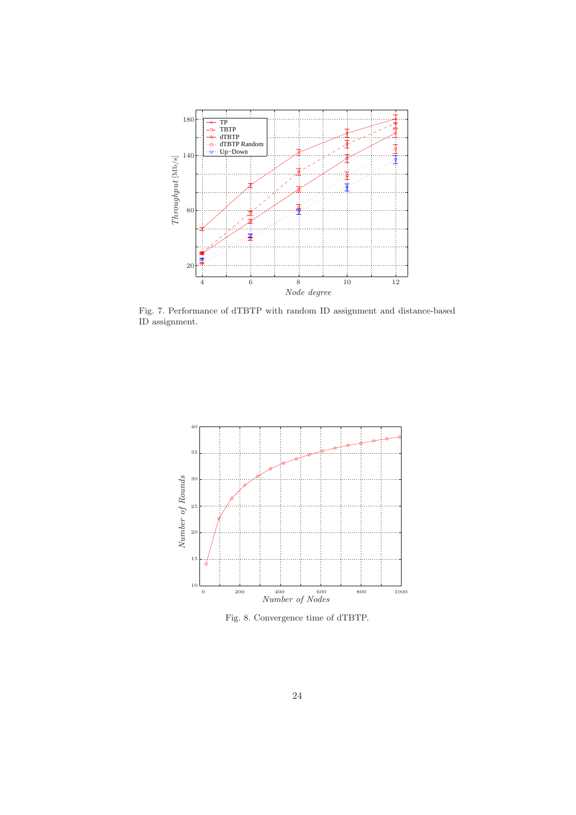

Fig. 7. Performance of dTBTP with random ID assignment and distance-based ID assignment.



Fig. 8. Convergence time of dTBTP.